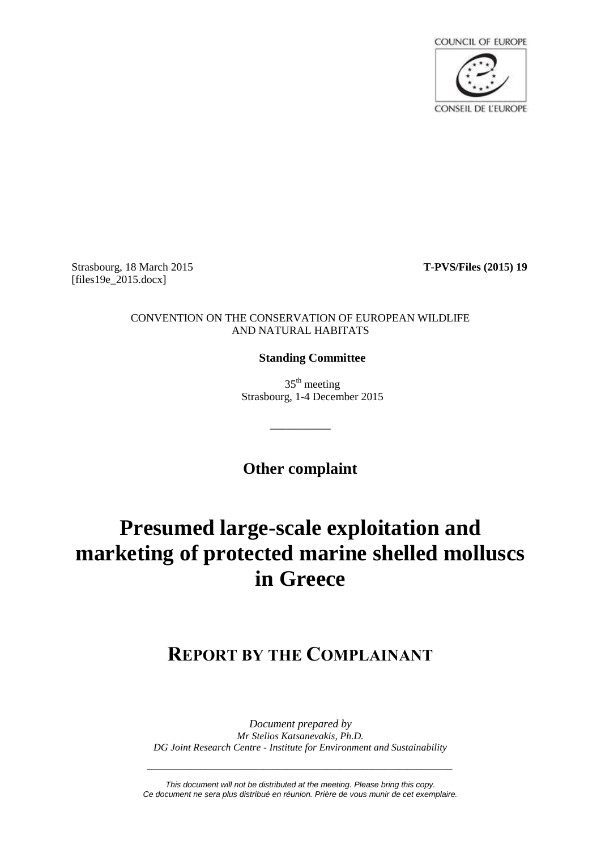

Strasbourg, 18 March 2015 **T-PVS/Files (2015) 19** [files19e\_2015.docx]

### CONVENTION ON THE CONSERVATION OF EUROPEAN WILDLIFE AND NATURAL HABITATS

### **Standing Committee**

 $35<sup>th</sup>$  meeting Strasbourg, 1-4 December 2015

**Other complaint**

\_\_\_\_\_\_\_\_\_\_

# **Presumed large-scale exploitation and marketing of protected marine shelled molluscs in Greece**

## **REPORT BY THE COMPLAINANT**

*Document prepared by Mr Stelios Katsanevakis, Ph.D. DG Joint Research Centre - Institute for Environment and Sustainability* 

*This document will not be distributed at the meeting. Please bring this copy. Ce document ne sera plus distribué en réunion. Prière de vous munir de cet exemplaire.*

*\_\_\_\_\_\_\_\_\_\_\_\_\_\_\_\_\_\_\_\_\_\_\_\_\_\_\_\_\_\_\_\_\_\_\_\_\_\_\_\_\_\_\_\_\_\_\_\_\_\_\_\_\_\_\_\_\_\_\_\_\_\_\_\_\_\_\_\_*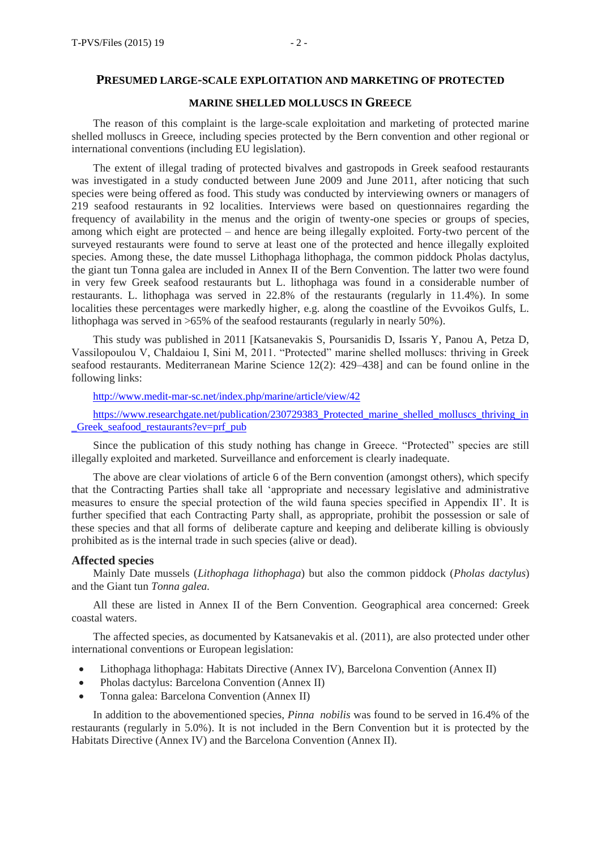### **MARINE SHELLED MOLLUSCS IN GREECE**

The reason of this complaint is the large-scale exploitation and marketing of protected marine shelled molluscs in Greece, including species protected by the Bern convention and other regional or international conventions (including EU legislation).

The extent of illegal trading of protected bivalves and gastropods in Greek seafood restaurants was investigated in a study conducted between June 2009 and June 2011, after noticing that such species were being offered as food. This study was conducted by interviewing owners or managers of 219 seafood restaurants in 92 localities. Interviews were based on questionnaires regarding the frequency of availability in the menus and the origin of twenty-one species or groups of species, among which eight are protected – and hence are being illegally exploited. Forty-two percent of the surveyed restaurants were found to serve at least one of the protected and hence illegally exploited species. Among these, the date mussel Lithophaga lithophaga, the common piddock Pholas dactylus, the giant tun Tonna galea are included in Annex II of the Bern Convention. The latter two were found in very few Greek seafood restaurants but L. lithophaga was found in a considerable number of restaurants. L. lithophaga was served in 22.8% of the restaurants (regularly in 11.4%). In some localities these percentages were markedly higher, e.g. along the coastline of the Evvoikos Gulfs, L. lithophaga was served in >65% of the seafood restaurants (regularly in nearly 50%).

This study was published in 2011 [Katsanevakis S, Poursanidis D, Issaris Y, Panou A, Petza D, Vassilopoulou V, Chaldaiou I, Sini M, 2011. "Protected" marine shelled molluscs: thriving in Greek seafood restaurants. Mediterranean Marine Science 12(2): 429–438] and can be found online in the following links:

<http://www.medit-mar-sc.net/index.php/marine/article/view/42>

https://www.researchgate.net/publication/230729383 Protected marine shelled molluscs thriving in Greek seafood restaurants?ev=prf\_pub

Since the publication of this study nothing has change in Greece. "Protected" species are still illegally exploited and marketed. Surveillance and enforcement is clearly inadequate.

The above are clear violations of article 6 of the Bern convention (amongst others), which specify that the Contracting Parties shall take all 'appropriate and necessary legislative and administrative measures to ensure the special protection of the wild fauna species specified in Appendix II'. It is further specified that each Contracting Party shall, as appropriate, prohibit the possession or sale of these species and that all forms of deliberate capture and keeping and deliberate killing is obviously prohibited as is the internal trade in such species (alive or dead).

### **Affected species**

Mainly Date mussels (*Lithophaga lithophaga*) but also the common piddock (*Pholas dactylus*) and the Giant tun *Tonna galea.*

All these are listed in Annex II of the Bern Convention. Geographical area concerned: Greek coastal waters.

The affected species, as documented by Katsanevakis et al. (2011), are also protected under other international conventions or European legislation:

- Lithophaga lithophaga: Habitats Directive (Annex IV), Barcelona Convention (Annex II)
- Pholas dactylus: Barcelona Convention (Annex II)
- Tonna galea: Barcelona Convention (Annex II)

In addition to the abovementioned species, *Pinna nobilis* was found to be served in 16.4% of the restaurants (regularly in 5.0%). It is not included in the Bern Convention but it is protected by the Habitats Directive (Annex IV) and the Barcelona Convention (Annex II).